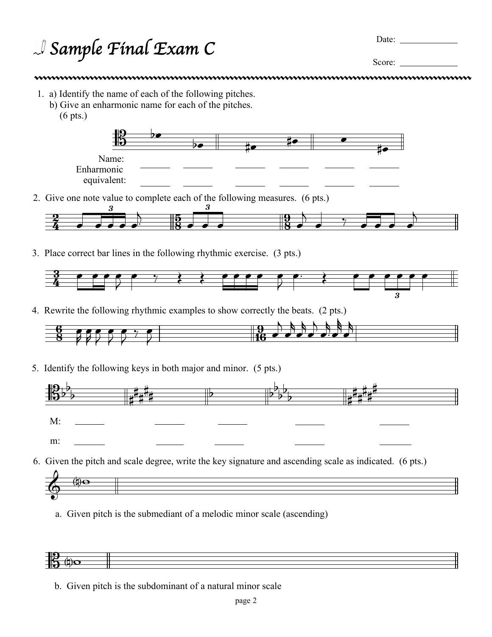## <sup>J</sup> Sample Final Exam C Date:

Score:

- 1. a) Identify the name of each of the following pitches.
	- b) Give an enharmonic name for each of the pitches. (6 pts.)



2. Give one note value to complete each of the following measures. (6 pts.)



3. Place correct bar lines in the following rhythmic exercise. (3 pts.)



4. Rewrite the following rhythmic examples to show correctly the beats. (2 pts.)



5. Identify the following keys in both major and minor. (5 pts.)





a. Given pitch is the submediant of a melodic minor scale (ascending)



b. Given pitch is the subdominant of a natural minor scale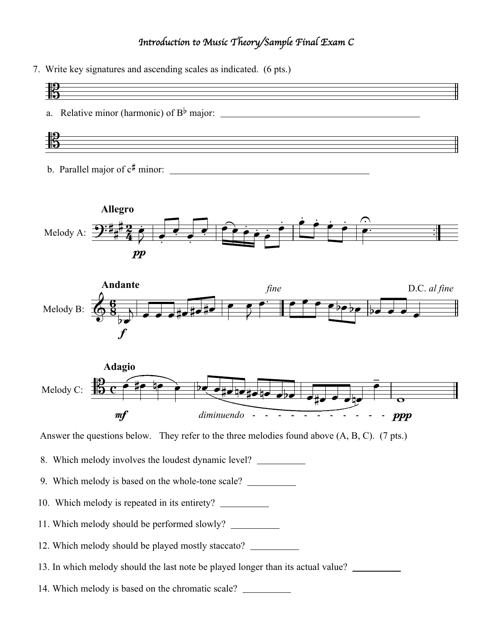## *Introduction to Music Theory/Sample Final Exam C*

7. Write key signatures and ascending scales as indicated. (6 pts.)









Answer the questions below. They refer to the three melodies found above (A, B, C). (7 pts.)

- 8. Which melody involves the loudest dynamic level?
- 9. Which melody is based on the whole-tone scale?
- 10. Which melody is repeated in its entirety?
- 11. Which melody should be performed slowly?
- 12. Which melody should be played mostly staccato?
- 13. In which melody should the last note be played longer than its actual value?
- 14. Which melody is based on the chromatic scale?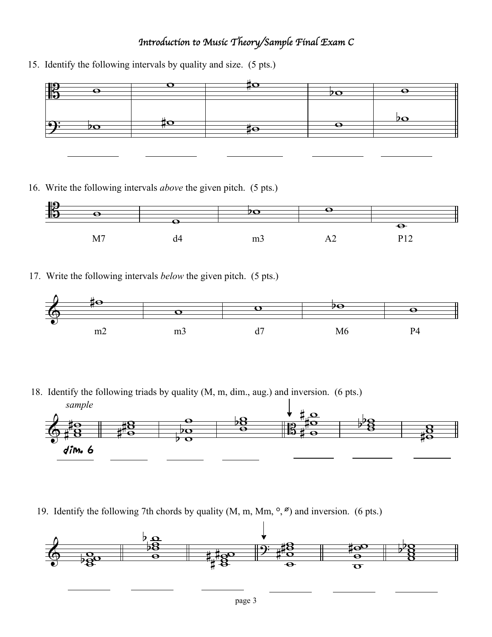## *Introduction to Music Theory/Sample Final Exam C*

15. Identify the following intervals by quality and size. (5 pts.)



16. Write the following intervals *above* the given pitch. (5 pts.)



17. Write the following intervals *below* the given pitch. (5 pts.)



18. Identify the following triads by quality (M, m, dim., aug.) and inversion. (6 pts.)



19. Identify the following 7th chords by quality  $(M, m, Mm, \degree, \degree)$  and inversion. (6 pts.)